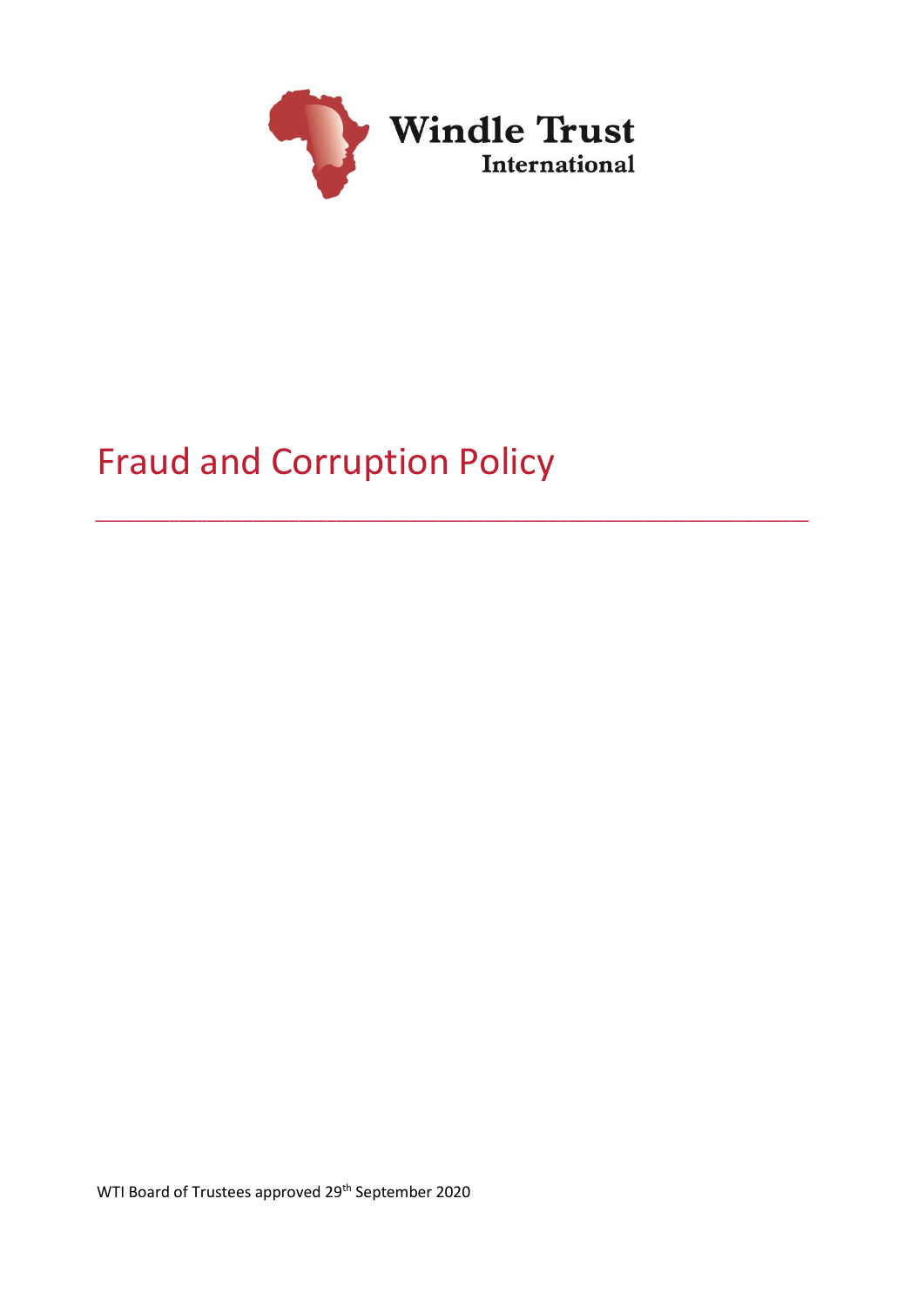

*\_\_\_\_\_\_\_\_\_\_\_\_\_\_\_\_\_\_\_\_\_\_\_\_\_\_\_\_\_\_\_\_\_\_\_\_\_\_\_\_\_\_\_\_\_\_\_\_\_\_\_\_\_\_\_\_\_\_\_\_\_\_\_\_\_\_\_\_\_\_\_\_\_\_\_\_\_*

# Fraud and Corruption Policy

WTI Board of Trustees approved 29<sup>th</sup> September 2020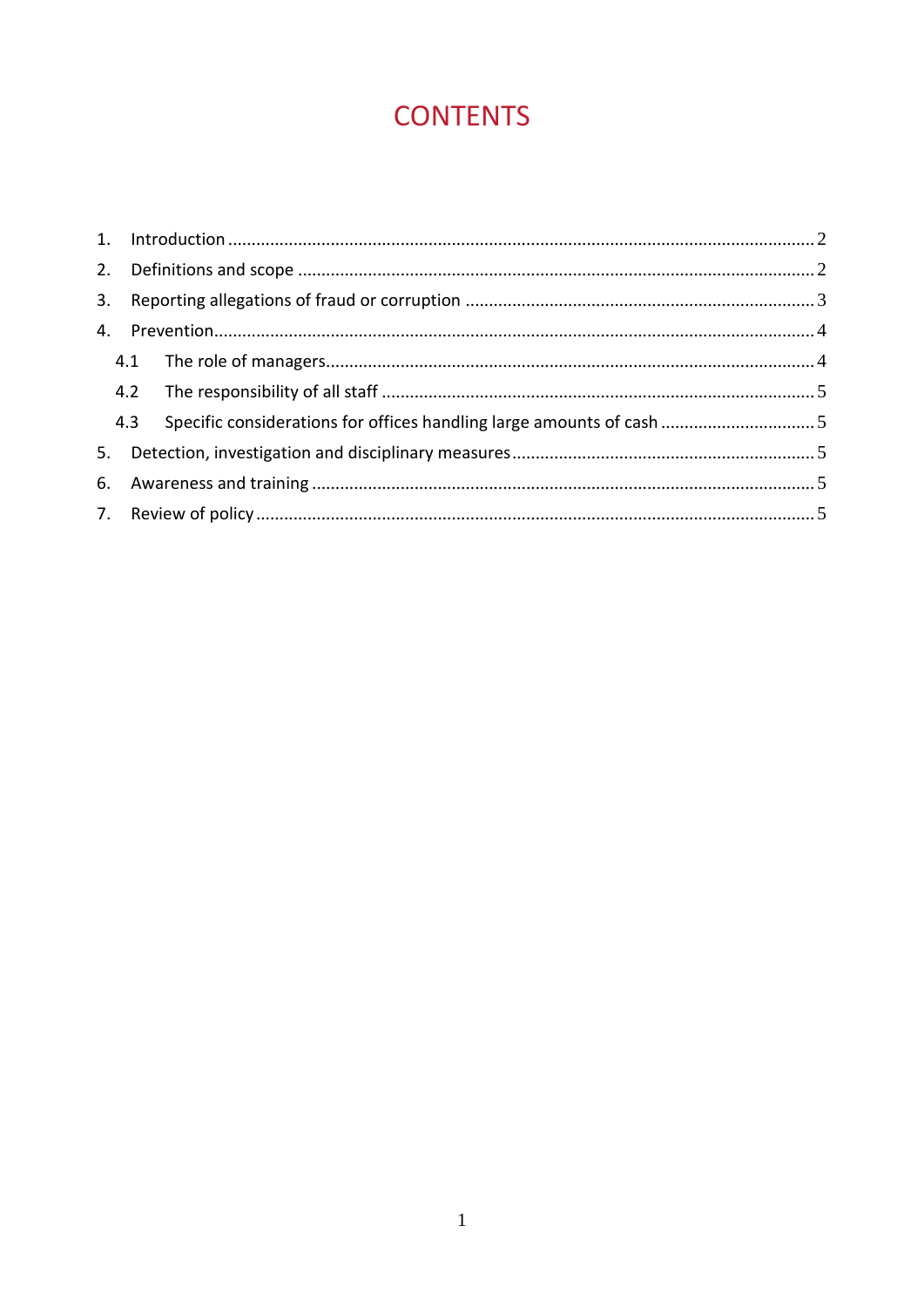# **CONTENTS**

|    | 4.3 |  |
|----|-----|--|
| 5. |     |  |
|    |     |  |
|    |     |  |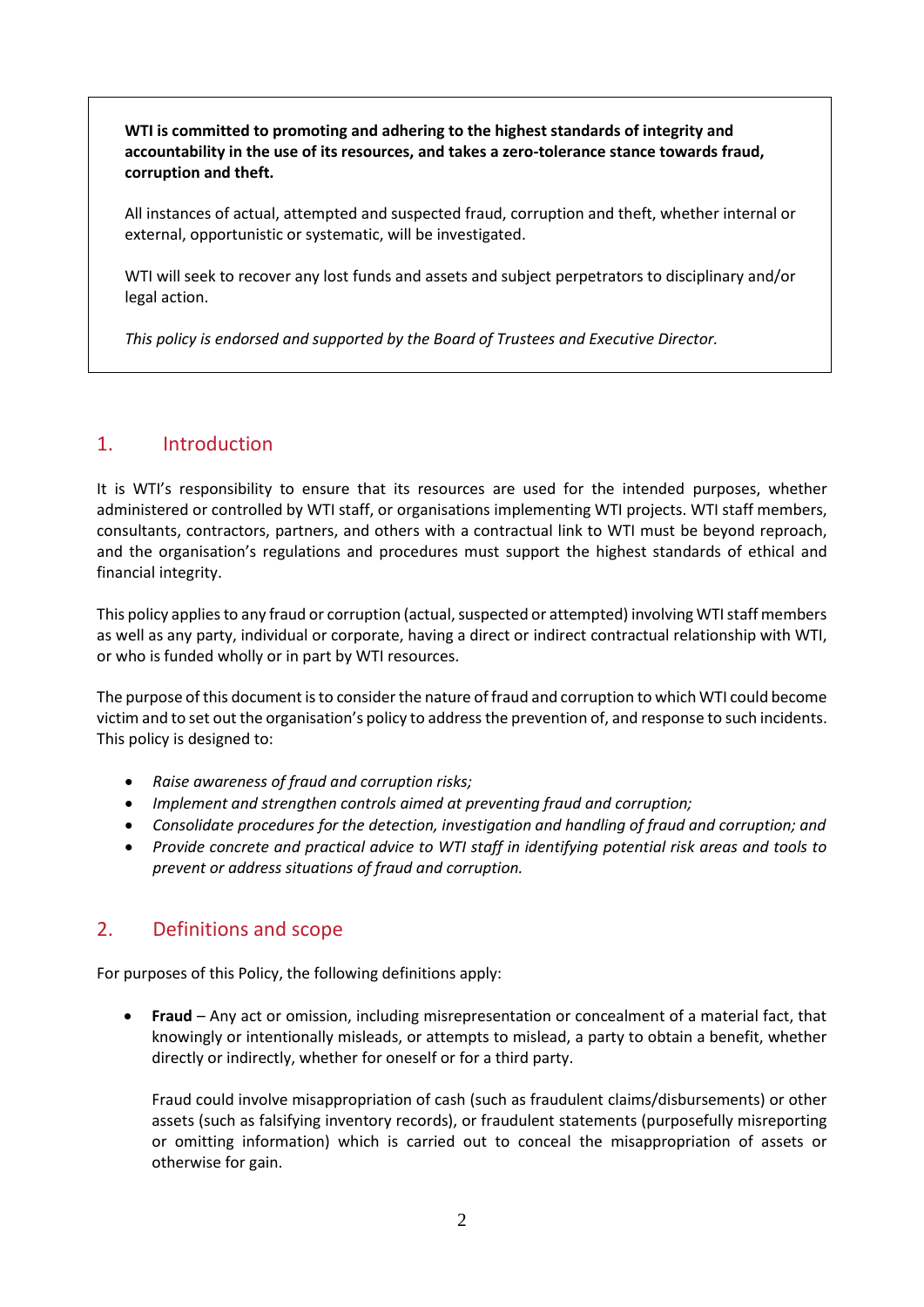**WTI is committed to promoting and adhering to the highest standards of integrity and accountability in the use of its resources, and takes a zero-tolerance stance towards fraud, corruption and theft.**

All instances of actual, attempted and suspected fraud, corruption and theft, whether internal or external, opportunistic or systematic, will be investigated.

WTI will seek to recover any lost funds and assets and subject perpetrators to disciplinary and/or legal action.

*This policy is endorsed and supported by the Board of Trustees and Executive Director.*

### <span id="page-2-0"></span>1. Introduction

It is WTI's responsibility to ensure that its resources are used for the intended purposes, whether administered or controlled by WTI staff, or organisations implementing WTI projects. WTI staff members, consultants, contractors, partners, and others with a contractual link to WTI must be beyond reproach, and the organisation's regulations and procedures must support the highest standards of ethical and financial integrity.

This policy applies to any fraud or corruption (actual, suspected or attempted) involving WTI staff members as well as any party, individual or corporate, having a direct or indirect contractual relationship with WTI, or who is funded wholly or in part by WTI resources.

The purpose of this document is to consider the nature of fraud and corruption to which WTI could become victim and to set out the organisation's policy to address the prevention of, and response to such incidents. This policy is designed to:

- *Raise awareness of fraud and corruption risks;*
- *Implement and strengthen controls aimed at preventing fraud and corruption;*
- *Consolidate procedures for the detection, investigation and handling of fraud and corruption; and*
- *Provide concrete and practical advice to WTI staff in identifying potential risk areas and tools to prevent or address situations of fraud and corruption.*

# <span id="page-2-1"></span>2. Definitions and scope

For purposes of this Policy, the following definitions apply:

• **Fraud** – Any act or omission, including misrepresentation or concealment of a material fact, that knowingly or intentionally misleads, or attempts to mislead, a party to obtain a benefit, whether directly or indirectly, whether for oneself or for a third party.

Fraud could involve misappropriation of cash (such as fraudulent claims/disbursements) or other assets (such as falsifying inventory records), or fraudulent statements (purposefully misreporting or omitting information) which is carried out to conceal the misappropriation of assets or otherwise for gain.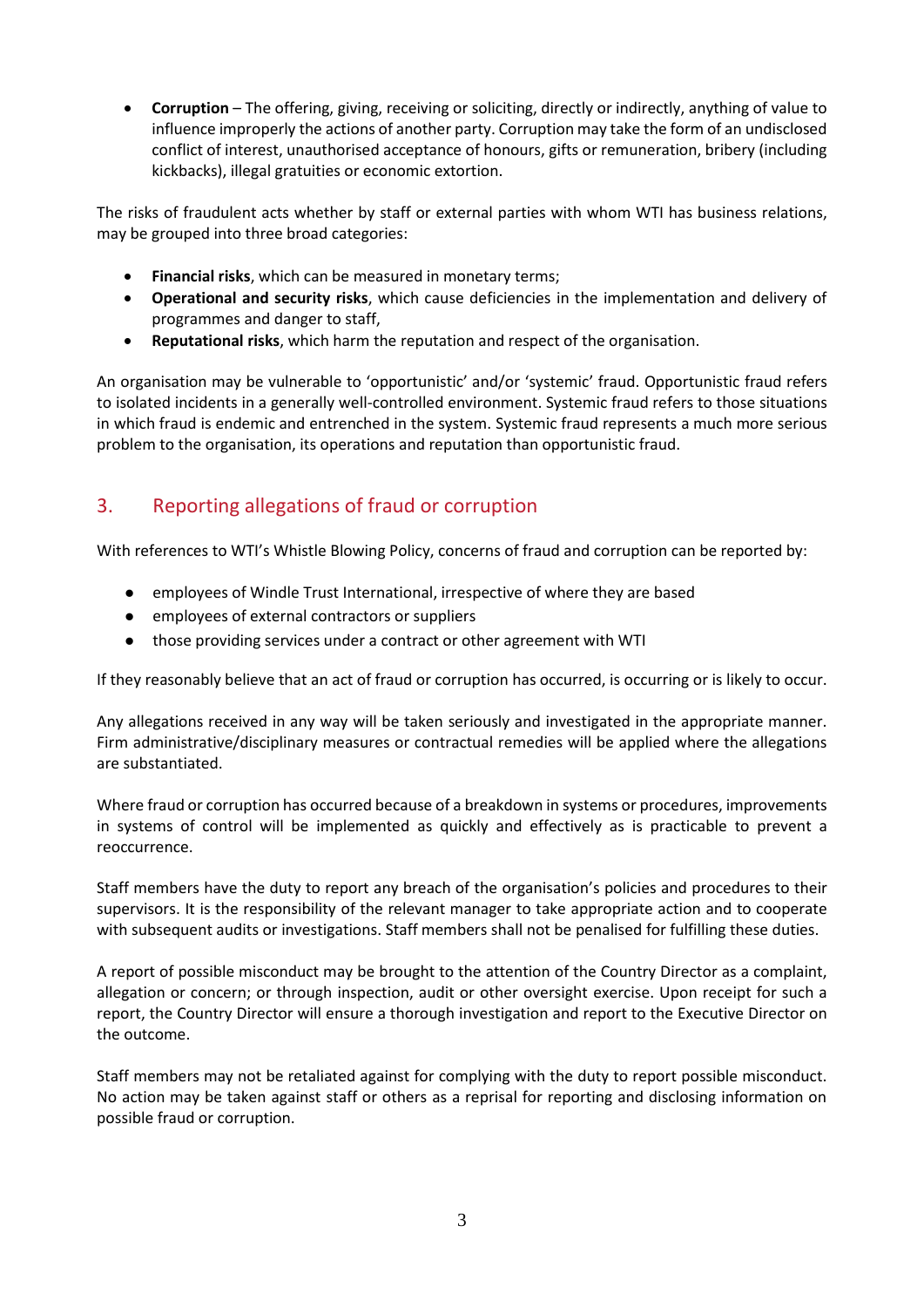• **Corruption** – The offering, giving, receiving or soliciting, directly or indirectly, anything of value to influence improperly the actions of another party. Corruption may take the form of an undisclosed conflict of interest, unauthorised acceptance of honours, gifts or remuneration, bribery (including kickbacks), illegal gratuities or economic extortion.

The risks of fraudulent acts whether by staff or external parties with whom WTI has business relations, may be grouped into three broad categories:

- **Financial risks**, which can be measured in monetary terms;
- **Operational and security risks**, which cause deficiencies in the implementation and delivery of programmes and danger to staff,
- **Reputational risks**, which harm the reputation and respect of the organisation.

An organisation may be vulnerable to 'opportunistic' and/or 'systemic' fraud. Opportunistic fraud refers to isolated incidents in a generally well-controlled environment. Systemic fraud refers to those situations in which fraud is endemic and entrenched in the system. Systemic fraud represents a much more serious problem to the organisation, its operations and reputation than opportunistic fraud.

# <span id="page-3-0"></span>3. Reporting allegations of fraud or corruption

With references to WTI's Whistle Blowing Policy, concerns of fraud and corruption can be reported by:

- ⚫ employees of Windle Trust International, irrespective of where they are based
- employees of external contractors or suppliers
- ⚫ those providing services under a contract or other agreement with WTI

If they reasonably believe that an act of fraud or corruption has occurred, is occurring or is likely to occur.

Any allegations received in any way will be taken seriously and investigated in the appropriate manner. Firm administrative/disciplinary measures or contractual remedies will be applied where the allegations are substantiated.

Where fraud or corruption has occurred because of a breakdown in systems or procedures, improvements in systems of control will be implemented as quickly and effectively as is practicable to prevent a reoccurrence.

Staff members have the duty to report any breach of the organisation's policies and procedures to their supervisors. It is the responsibility of the relevant manager to take appropriate action and to cooperate with subsequent audits or investigations. Staff members shall not be penalised for fulfilling these duties.

A report of possible misconduct may be brought to the attention of the Country Director as a complaint, allegation or concern; or through inspection, audit or other oversight exercise. Upon receipt for such a report, the Country Director will ensure a thorough investigation and report to the Executive Director on the outcome.

Staff members may not be retaliated against for complying with the duty to report possible misconduct. No action may be taken against staff or others as a reprisal for reporting and disclosing information on possible fraud or corruption.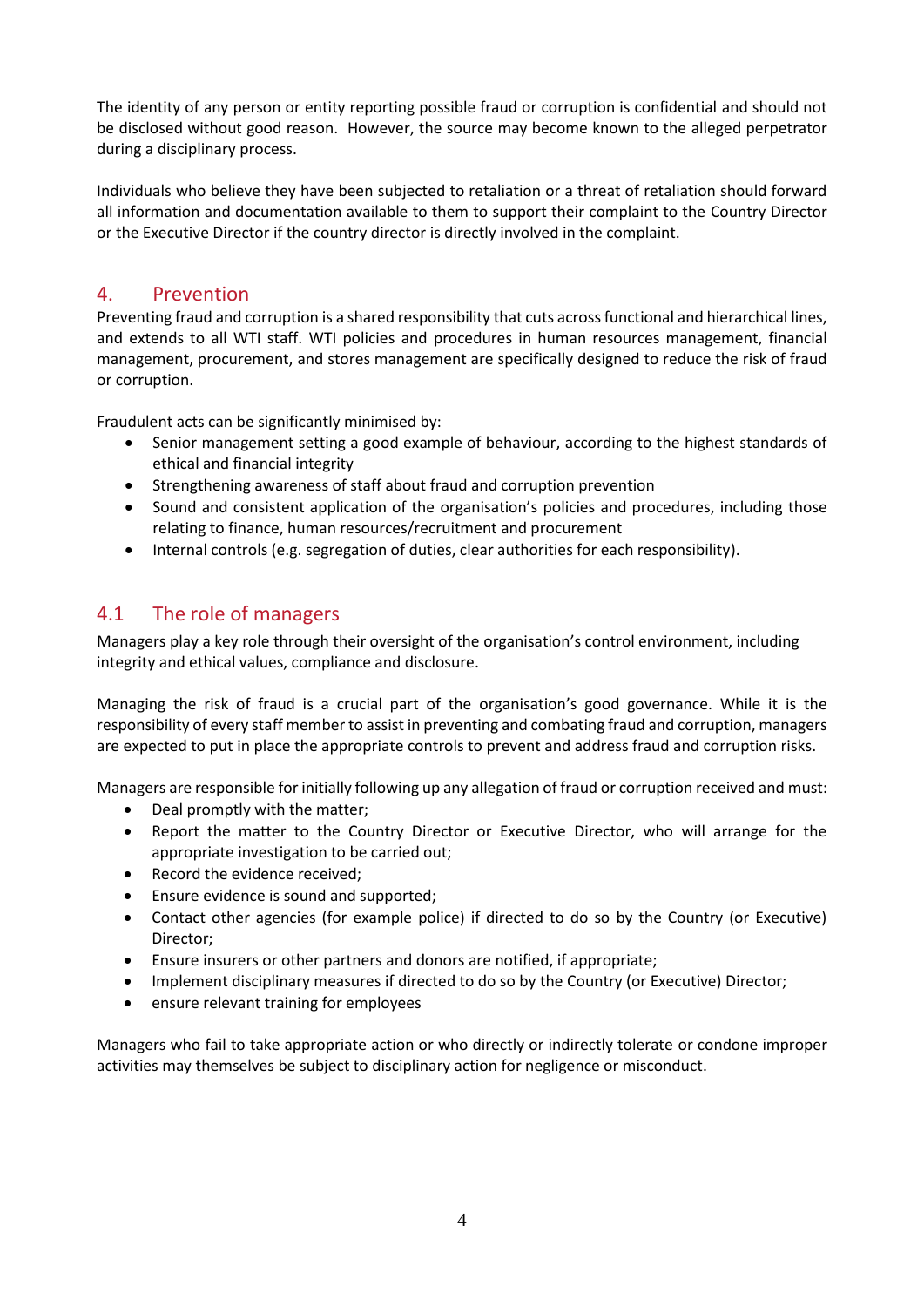The identity of any person or entity reporting possible fraud or corruption is confidential and should not be disclosed without good reason. However, the source may become known to the alleged perpetrator during a disciplinary process.

Individuals who believe they have been subjected to retaliation or a threat of retaliation should forward all information and documentation available to them to support their complaint to the Country Director or the Executive Director if the country director is directly involved in the complaint.

#### <span id="page-4-0"></span>4. Prevention

Preventing fraud and corruption is a shared responsibility that cuts across functional and hierarchical lines, and extends to all WTI staff. WTI policies and procedures in human resources management, financial management, procurement, and stores management are specifically designed to reduce the risk of fraud or corruption.

Fraudulent acts can be significantly minimised by:

- Senior management setting a good example of behaviour, according to the highest standards of ethical and financial integrity
- Strengthening awareness of staff about fraud and corruption prevention
- Sound and consistent application of the organisation's policies and procedures, including those relating to finance, human resources/recruitment and procurement
- Internal controls (e.g. segregation of duties, clear authorities for each responsibility).

# <span id="page-4-1"></span>4.1 The role of managers

Managers play a key role through their oversight of the organisation's control environment, including integrity and ethical values, compliance and disclosure.

Managing the risk of fraud is a crucial part of the organisation's good governance. While it is the responsibility of every staff member to assist in preventing and combating fraud and corruption, managers are expected to put in place the appropriate controls to prevent and address fraud and corruption risks.

Managers are responsible for initially following up any allegation of fraud or corruption received and must:

- Deal promptly with the matter;
- Report the matter to the Country Director or Executive Director, who will arrange for the appropriate investigation to be carried out;
- Record the evidence received:
- Ensure evidence is sound and supported;
- Contact other agencies (for example police) if directed to do so by the Country (or Executive) Director;
- Ensure insurers or other partners and donors are notified, if appropriate;
- Implement disciplinary measures if directed to do so by the Country (or Executive) Director;
- ensure relevant training for employees

Managers who fail to take appropriate action or who directly or indirectly tolerate or condone improper activities may themselves be subject to disciplinary action for negligence or misconduct.